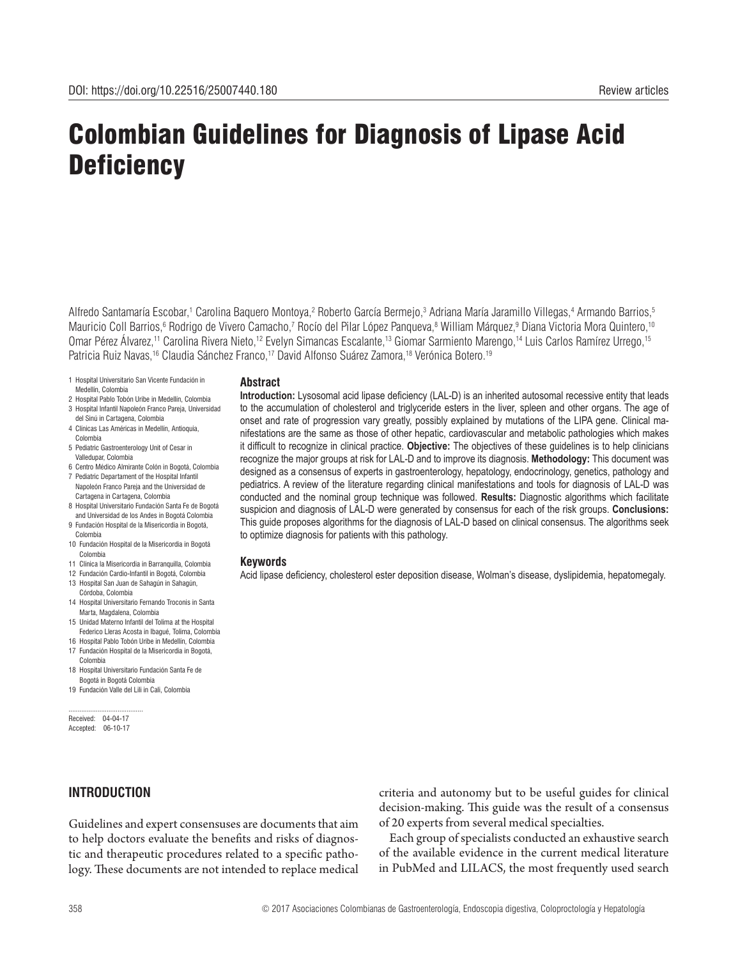# Colombian Guidelines for Diagnosis of Lipase Acid **Deficiency**

Alfredo Santamaría Escobar,<sup>1</sup> Carolina Baquero Montoya,<sup>2</sup> Roberto García Bermejo,<sup>3</sup> Adriana María Jaramillo Villegas,<sup>4</sup> Armando Barrios,<sup>5</sup> Mauricio Coll Barrios,<sup>6</sup> Rodrigo de Vivero Camacho,<sup>7</sup> Rocío del Pilar López Panqueva,<sup>8</sup> William Márquez,<sup>9</sup> Diana Victoria Mora Quintero,<sup>10</sup> Omar Pérez Álvarez,11 Carolina Rivera Nieto,12 Evelyn Simancas Escalante,13 Giomar Sarmiento Marengo,14 Luis Carlos Ramírez Urrego,15 Patricia Ruiz Navas,<sup>16</sup> Claudia Sánchez Franco,<sup>17</sup> David Alfonso Suárez Zamora,<sup>18</sup> Verónica Botero.<sup>19</sup>

- 1 Hospital Universitario San Vicente Fundación in Medellín, Colombia
- 2 Hospital Pablo Tobón Uribe in Medellín, Colombia 3 Hospital Infantil Napoleón Franco Pareja, Universidad
- del Sinú in Cartagena, Colombia
- 4 Clínicas Las Américas in Medellín, Antioquia, Colombia
- 5 Pediatric Gastroenterology Unit of Cesar in Valledupar, Colombia
- 6 Centro Médico Almirante Colón in Bogotá, Colombia 7 Pediatric Departament of the Hospital Infantil
- Napoleón Franco Pareja and the Universidad de Cartagena in Cartagena, Colombia
- 8 Hospital Universitario Fundación Santa Fe de Bogotá and Universidad de los Andes in Bogotá Colombia
- 9 Fundación Hospital de la Misericordia in Bogotá, Colombia
- 10 Fundación Hospital de la Misericordia in Bogotá Colombia
- 11 Clínica la Misericordia in Barranquilla, Colombia
- 12 Fundación Cardio-Infantil in Bogotá, Colombia 13 Hospital San Juan de Sahagún in Sahagún,
- Córdoba, Colombia
- 14 Hospital Universitario Fernando Troconis in Santa Marta, Magdalena, Colombia
- 15 Unidad Materno Infantil del Tolima at the Hospital Federico Lleras Acosta in Ibagué, Tolima, Colombia
- 16 Hospital Pablo Tobón Uribe in Medellín, Colombia 17 Fundación Hospital de la Misericordia in Bogotá,
- Colombia 18 Hospital Universitario Fundación Santa Fe de
- Bogotá in Bogotá Colombia 19 Fundación Valle del Lili in Cali, Colombia

......................................... Received: 04-04-17 Accepted: 06-10-17

# **INTRODUCTION**

# Guidelines and expert consensuses are documents that aim to help doctors evaluate the benefits and risks of diagnostic and therapeutic procedures related to a specific pathology. These documents are not intended to replace medical

criteria and autonomy but to be useful guides for clinical decision-making. This guide was the result of a consensus of 20 experts from several medical specialties.

Each group of specialists conducted an exhaustive search of the available evidence in the current medical literature in PubMed and LILACS, the most frequently used search

**Introduction:** Lysosomal acid lipase deficiency (LAL-D) is an inherited autosomal recessive entity that leads to the accumulation of cholesterol and triglyceride esters in the liver, spleen and other organs. The age of onset and rate of progression vary greatly, possibly explained by mutations of the LIPA gene. Clinical manifestations are the same as those of other hepatic, cardiovascular and metabolic pathologies which makes it difficult to recognize in clinical practice. **Objective:** The objectives of these guidelines is to help clinicians recognize the major groups at risk for LAL-D and to improve its diagnosis. **Methodology:** This document was designed as a consensus of experts in gastroenterology, hepatology, endocrinology, genetics, pathology and pediatrics. A review of the literature regarding clinical manifestations and tools for diagnosis of LAL-D was

conducted and the nominal group technique was followed. **Results:** Diagnostic algorithms which facilitate suspicion and diagnosis of LAL-D were generated by consensus for each of the risk groups. **Conclusions:**  This guide proposes algorithms for the diagnosis of LAL-D based on clinical consensus. The algorithms seek to optimize diagnosis for patients with this pathology.

#### **Keywords**

**Abstract**

Acid lipase deficiency, cholesterol ester deposition disease, Wolman's disease, dyslipidemia, hepatomegaly.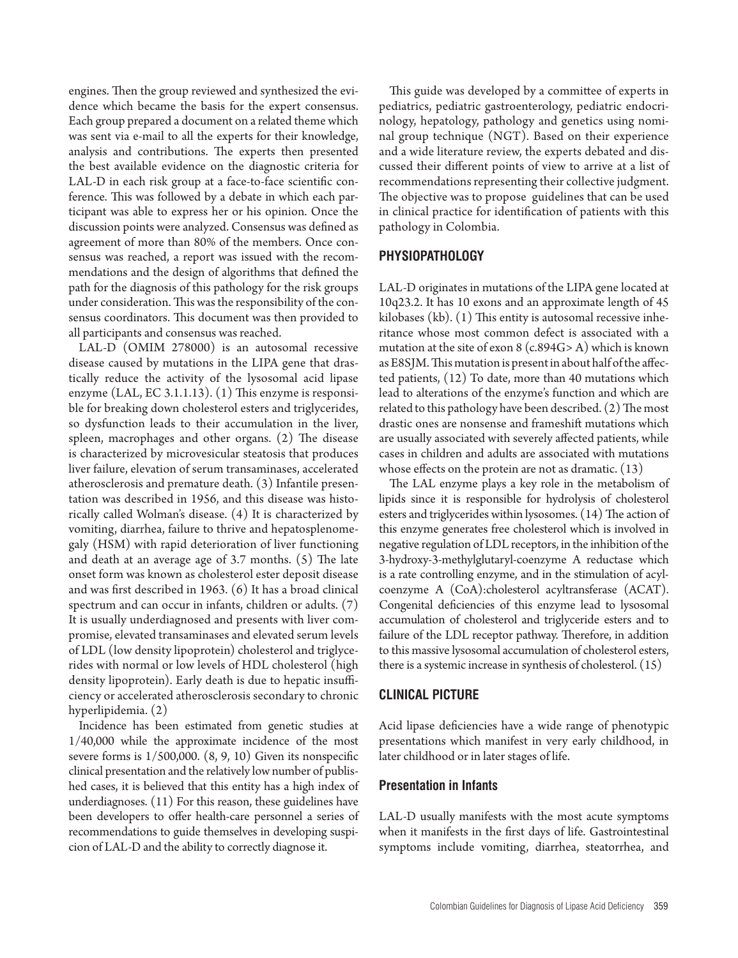engines. Then the group reviewed and synthesized the evidence which became the basis for the expert consensus. Each group prepared a document on a related theme which was sent via e-mail to all the experts for their knowledge, analysis and contributions. The experts then presented the best available evidence on the diagnostic criteria for LAL-D in each risk group at a face-to-face scientific conference. This was followed by a debate in which each participant was able to express her or his opinion. Once the discussion points were analyzed. Consensus was defined as agreement of more than 80% of the members. Once consensus was reached, a report was issued with the recommendations and the design of algorithms that defined the path for the diagnosis of this pathology for the risk groups under consideration. This was the responsibility of the consensus coordinators. This document was then provided to all participants and consensus was reached.

LAL-D (OMIM 278000) is an autosomal recessive disease caused by mutations in the LIPA gene that drastically reduce the activity of the lysosomal acid lipase enzyme (LAL, EC 3.1.1.13). (1) This enzyme is responsible for breaking down cholesterol esters and triglycerides, so dysfunction leads to their accumulation in the liver, spleen, macrophages and other organs. (2) The disease is characterized by microvesicular steatosis that produces liver failure, elevation of serum transaminases, accelerated atherosclerosis and premature death. (3) Infantile presentation was described in 1956, and this disease was historically called Wolman's disease. (4) It is characterized by vomiting, diarrhea, failure to thrive and hepatosplenomegaly (HSM) with rapid deterioration of liver functioning and death at an average age of 3.7 months. (5) The late onset form was known as cholesterol ester deposit disease and was first described in 1963. (6) It has a broad clinical spectrum and can occur in infants, children or adults. (7) It is usually underdiagnosed and presents with liver compromise, elevated transaminases and elevated serum levels of LDL (low density lipoprotein) cholesterol and triglycerides with normal or low levels of HDL cholesterol (high density lipoprotein). Early death is due to hepatic insufficiency or accelerated atherosclerosis secondary to chronic hyperlipidemia. (2)

Incidence has been estimated from genetic studies at 1/40,000 while the approximate incidence of the most severe forms is  $1/500,000$ .  $(8, 9, 10)$  Given its nonspecific clinical presentation and the relatively low number of published cases, it is believed that this entity has a high index of underdiagnoses. (11) For this reason, these guidelines have been developers to offer health-care personnel a series of recommendations to guide themselves in developing suspicion of LAL-D and the ability to correctly diagnose it.

This guide was developed by a committee of experts in pediatrics, pediatric gastroenterology, pediatric endocrinology, hepatology, pathology and genetics using nominal group technique (NGT). Based on their experience and a wide literature review, the experts debated and discussed their different points of view to arrive at a list of recommendations representing their collective judgment. The objective was to propose guidelines that can be used in clinical practice for identification of patients with this pathology in Colombia.

# **PHYSIOPATHOLOGY**

LAL-D originates in mutations of the LIPA gene located at 10q23.2. It has 10 exons and an approximate length of 45 kilobases (kb). (1) This entity is autosomal recessive inheritance whose most common defect is associated with a mutation at the site of exon  $8$  (c.894G>A) which is known as E8SJM. This mutation is present in about half of the affected patients, (12) To date, more than 40 mutations which lead to alterations of the enzyme's function and which are related to this pathology have been described. (2) The most drastic ones are nonsense and frameshift mutations which are usually associated with severely affected patients, while cases in children and adults are associated with mutations whose effects on the protein are not as dramatic. (13)

The LAL enzyme plays a key role in the metabolism of lipids since it is responsible for hydrolysis of cholesterol esters and triglycerides within lysosomes. (14) The action of this enzyme generates free cholesterol which is involved in negative regulation of LDL receptors, in the inhibition of the 3-hydroxy-3-methylglutaryl-coenzyme A reductase which is a rate controlling enzyme, and in the stimulation of acylcoenzyme A (CoA):cholesterol acyltransferase (ACAT). Congenital deficiencies of this enzyme lead to lysosomal accumulation of cholesterol and triglyceride esters and to failure of the LDL receptor pathway. Therefore, in addition to this massive lysosomal accumulation of cholesterol esters, there is a systemic increase in synthesis of cholesterol. (15)

#### **CLINICAL PICTURE**

Acid lipase deficiencies have a wide range of phenotypic presentations which manifest in very early childhood, in later childhood or in later stages of life.

#### **Presentation in Infants**

LAL-D usually manifests with the most acute symptoms when it manifests in the first days of life. Gastrointestinal symptoms include vomiting, diarrhea, steatorrhea, and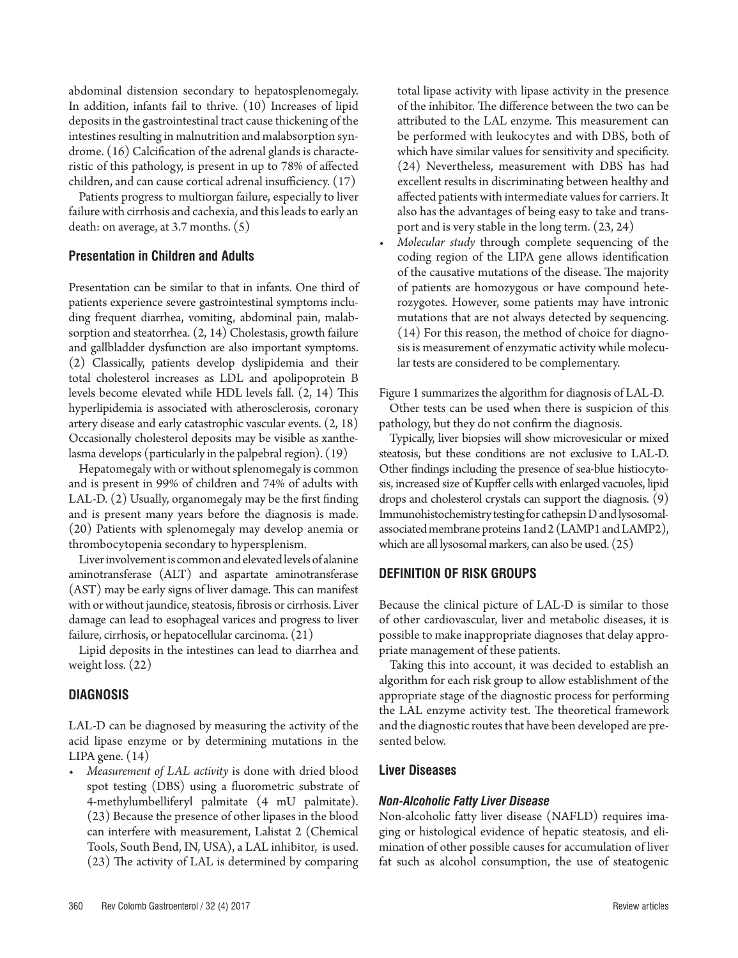abdominal distension secondary to hepatosplenomegaly. In addition, infants fail to thrive. (10) Increases of lipid deposits in the gastrointestinal tract cause thickening of the intestines resulting in malnutrition and malabsorption syndrome. (16) Calcification of the adrenal glands is characteristic of this pathology, is present in up to 78% of affected children, and can cause cortical adrenal insufficiency. (17)

Patients progress to multiorgan failure, especially to liver failure with cirrhosis and cachexia, and this leads to early an death: on average, at 3.7 months. (5)

# **Presentation in Children and Adults**

Presentation can be similar to that in infants. One third of patients experience severe gastrointestinal symptoms including frequent diarrhea, vomiting, abdominal pain, malabsorption and steatorrhea. (2, 14) Cholestasis, growth failure and gallbladder dysfunction are also important symptoms. (2) Classically, patients develop dyslipidemia and their total cholesterol increases as LDL and apolipoprotein B levels become elevated while HDL levels fall. (2, 14) This hyperlipidemia is associated with atherosclerosis, coronary artery disease and early catastrophic vascular events. (2, 18) Occasionally cholesterol deposits may be visible as xanthelasma develops (particularly in the palpebral region). (19)

Hepatomegaly with or without splenomegaly is common and is present in 99% of children and 74% of adults with LAL-D. (2) Usually, organomegaly may be the first finding and is present many years before the diagnosis is made. (20) Patients with splenomegaly may develop anemia or thrombocytopenia secondary to hypersplenism.

Liver involvement is common and elevated levels of alanine aminotransferase (ALT) and aspartate aminotransferase (AST) may be early signs of liver damage. This can manifest with or without jaundice, steatosis, fibrosis or cirrhosis. Liver damage can lead to esophageal varices and progress to liver failure, cirrhosis, or hepatocellular carcinoma. (21)

Lipid deposits in the intestines can lead to diarrhea and weight loss. (22)

# **DIAGNOSIS**

LAL-D can be diagnosed by measuring the activity of the acid lipase enzyme or by determining mutations in the LIPA gene. (14)

*• Measurement of LAL activity* is done with dried blood spot testing (DBS) using a fluorometric substrate of 4-methylumbelliferyl palmitate (4 mU palmitate). (23) Because the presence of other lipases in the blood can interfere with measurement, Lalistat 2 (Chemical Tools, South Bend, IN, USA), a LAL inhibitor, is used. (23) The activity of LAL is determined by comparing

total lipase activity with lipase activity in the presence of the inhibitor. The difference between the two can be attributed to the LAL enzyme. This measurement can be performed with leukocytes and with DBS, both of which have similar values for sensitivity and specificity. (24) Nevertheless, measurement with DBS has had excellent results in discriminating between healthy and affected patients with intermediate values for carriers. It also has the advantages of being easy to take and transport and is very stable in the long term. (23, 24)

*Molecular study* through complete sequencing of the coding region of the LIPA gene allows identification of the causative mutations of the disease. The majority of patients are homozygous or have compound heterozygotes. However, some patients may have intronic mutations that are not always detected by sequencing. (14) For this reason, the method of choice for diagnosis is measurement of enzymatic activity while molecular tests are considered to be complementary.

Figure 1 summarizes the algorithm for diagnosis of LAL-D.

Other tests can be used when there is suspicion of this pathology, but they do not confirm the diagnosis.

Typically, liver biopsies will show microvesicular or mixed steatosis, but these conditions are not exclusive to LAL-D. Other findings including the presence of sea-blue histiocytosis, increased size of Kupffer cells with enlarged vacuoles, lipid drops and cholesterol crystals can support the diagnosis. (9) Immunohistochemistry testing for cathepsin D and lysosomalassociated membrane proteins 1and 2 (LAMP1 and LAMP2), which are all lysosomal markers, can also be used. (25)

# **DEFINITION OF RISK GROUPS**

Because the clinical picture of LAL-D is similar to those of other cardiovascular, liver and metabolic diseases, it is possible to make inappropriate diagnoses that delay appropriate management of these patients.

Taking this into account, it was decided to establish an algorithm for each risk group to allow establishment of the appropriate stage of the diagnostic process for performing the LAL enzyme activity test. The theoretical framework and the diagnostic routes that have been developed are presented below.

# **Liver Diseases**

#### *Non-Alcoholic Fatty Liver Disease*

Non-alcoholic fatty liver disease (NAFLD) requires imaging or histological evidence of hepatic steatosis, and elimination of other possible causes for accumulation of liver fat such as alcohol consumption, the use of steatogenic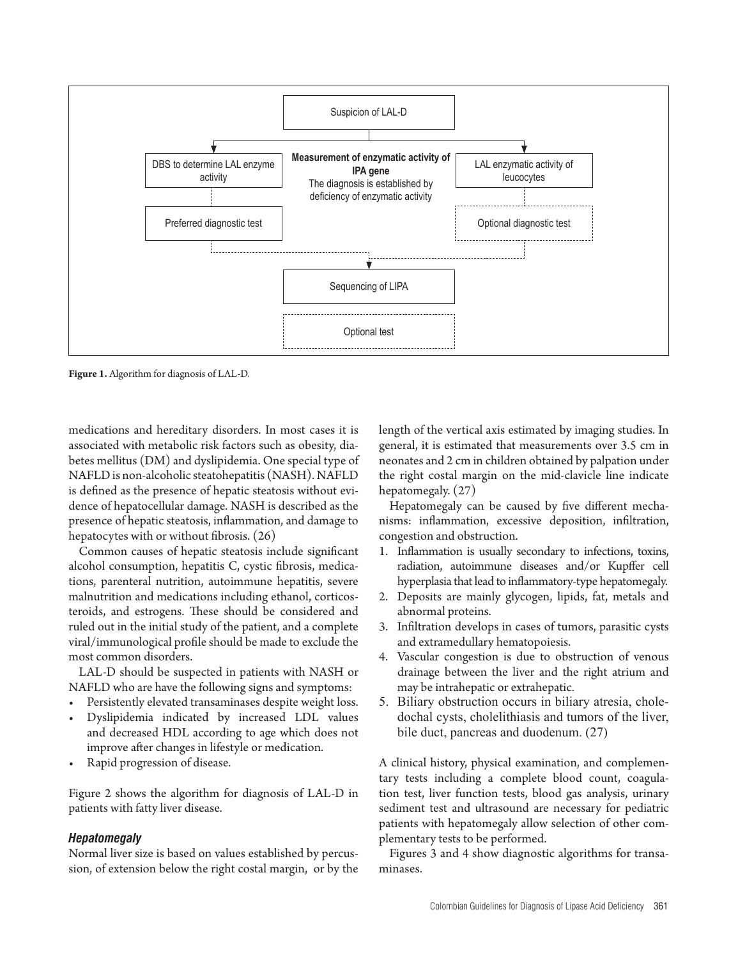

**Figure 1.** Algorithm for diagnosis of LAL-D.

medications and hereditary disorders. In most cases it is associated with metabolic risk factors such as obesity, diabetes mellitus (DM) and dyslipidemia. One special type of NAFLD is non-alcoholic steatohepatitis (NASH). NAFLD is defined as the presence of hepatic steatosis without evidence of hepatocellular damage. NASH is described as the presence of hepatic steatosis, inflammation, and damage to hepatocytes with or without fibrosis. (26)

Common causes of hepatic steatosis include significant alcohol consumption, hepatitis C, cystic fibrosis, medications, parenteral nutrition, autoimmune hepatitis, severe malnutrition and medications including ethanol, corticosteroids, and estrogens. These should be considered and ruled out in the initial study of the patient, and a complete viral/immunological profile should be made to exclude the most common disorders.

LAL-D should be suspected in patients with NASH or NAFLD who are have the following signs and symptoms:

- Persistently elevated transaminases despite weight loss.
- Dyslipidemia indicated by increased LDL values and decreased HDL according to age which does not improve after changes in lifestyle or medication.
- Rapid progression of disease.

Figure 2 shows the algorithm for diagnosis of LAL-D in patients with fatty liver disease.

#### *Hepatomegaly*

Normal liver size is based on values established by percussion, of extension below the right costal margin, or by the length of the vertical axis estimated by imaging studies. In general, it is estimated that measurements over 3.5 cm in neonates and 2 cm in children obtained by palpation under the right costal margin on the mid-clavicle line indicate hepatomegaly. (27)

Hepatomegaly can be caused by five different mechanisms: inflammation, excessive deposition, infiltration, congestion and obstruction.

- 1. Inflammation is usually secondary to infections, toxins, radiation, autoimmune diseases and/or Kupffer cell hyperplasia that lead to inflammatory-type hepatomegaly.
- 2. Deposits are mainly glycogen, lipids, fat, metals and abnormal proteins.
- 3. Infiltration develops in cases of tumors, parasitic cysts and extramedullary hematopoiesis.
- 4. Vascular congestion is due to obstruction of venous drainage between the liver and the right atrium and may be intrahepatic or extrahepatic.
- 5. Biliary obstruction occurs in biliary atresia, choledochal cysts, cholelithiasis and tumors of the liver, bile duct, pancreas and duodenum. (27)

A clinical history, physical examination, and complementary tests including a complete blood count, coagulation test, liver function tests, blood gas analysis, urinary sediment test and ultrasound are necessary for pediatric patients with hepatomegaly allow selection of other complementary tests to be performed.

Figures 3 and 4 show diagnostic algorithms for transaminases.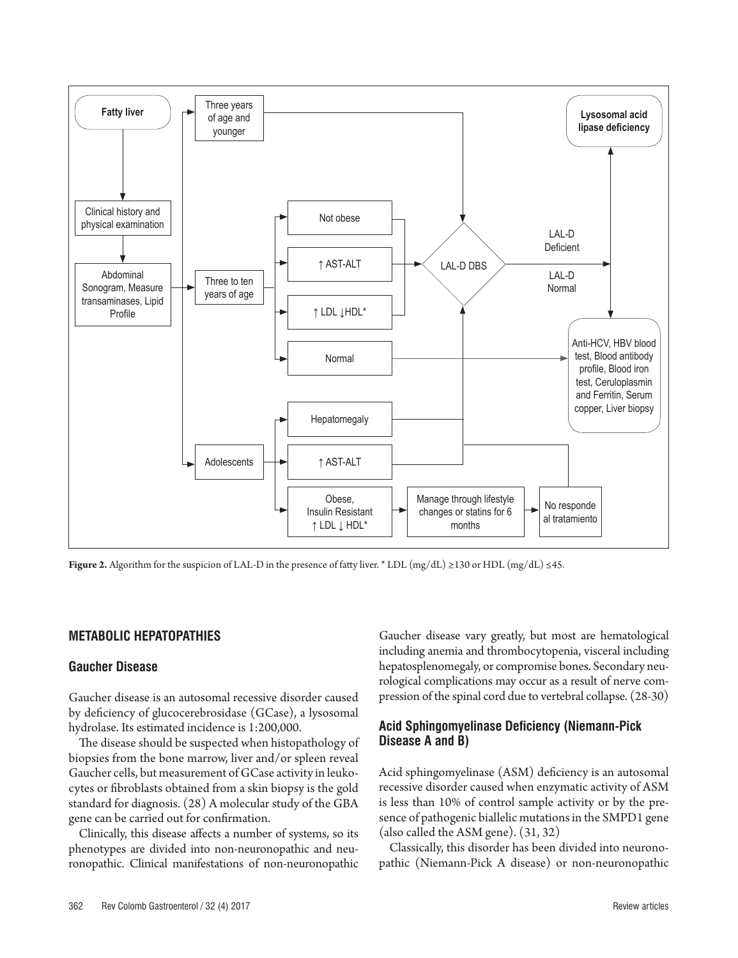

**Figure 2.** Algorithm for the suspicion of LAL-D in the presence of fatty liver. \* LDL (mg/dL) ≥130 or HDL (mg/dL) ≤45.

#### **METABOLIC HEPATOPATHIES**

#### **Gaucher Disease**

Gaucher disease is an autosomal recessive disorder caused by deficiency of glucocerebrosidase (GCase), a lysosomal hydrolase. Its estimated incidence is 1:200,000.

The disease should be suspected when histopathology of biopsies from the bone marrow, liver and/or spleen reveal Gaucher cells, but measurement of GCase activity in leukocytes or fibroblasts obtained from a skin biopsy is the gold standard for diagnosis. (28) A molecular study of the GBA gene can be carried out for confirmation.

Clinically, this disease affects a number of systems, so its phenotypes are divided into non-neuronopathic and neuronopathic. Clinical manifestations of non-neuronopathic Gaucher disease vary greatly, but most are hematological including anemia and thrombocytopenia, visceral including hepatosplenomegaly, or compromise bones. Secondary neurological complications may occur as a result of nerve compression of the spinal cord due to vertebral collapse. (28-30)

# **Acid Sphingomyelinase Deficiency (Niemann-Pick Disease A and B)**

Acid sphingomyelinase (ASM) deficiency is an autosomal recessive disorder caused when enzymatic activity of ASM is less than 10% of control sample activity or by the presence of pathogenic biallelic mutations in the SMPD1 gene (also called the ASM gene). (31, 32)

Classically, this disorder has been divided into neuronopathic (Niemann-Pick A disease) or non-neuronopathic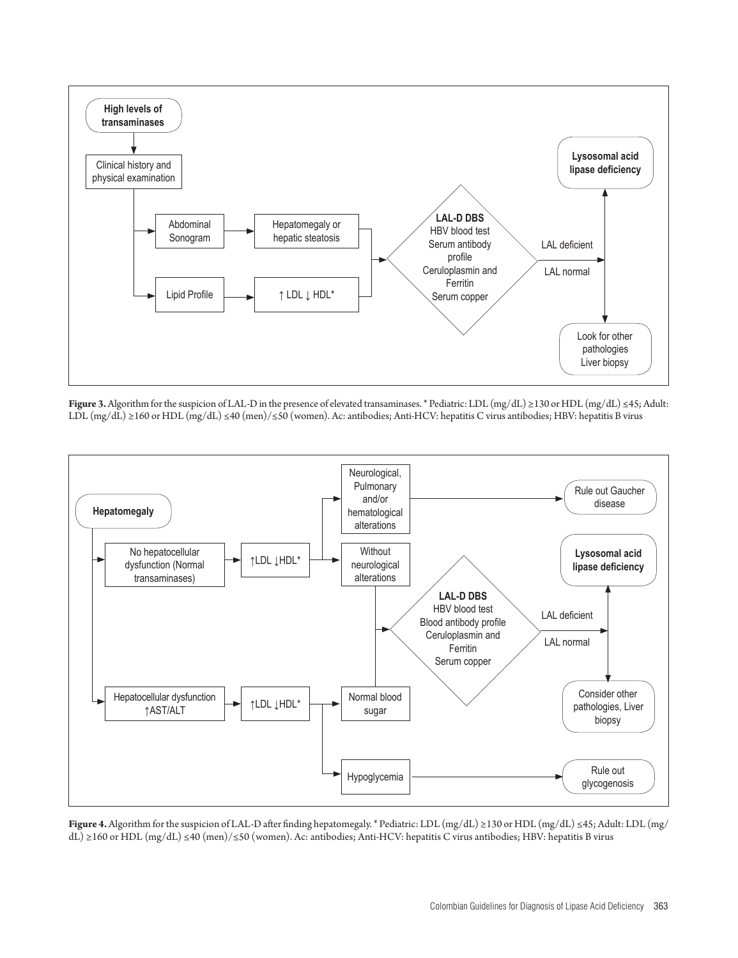

**Figure 3.** Algorithm for the suspicion of LAL-D in the presence of elevated transaminases. \* Pediatric: LDL (mg/dL) ≥130 or HDL (mg/dL) ≤45; Adult: LDL (mg/dL) ≥160 or HDL (mg/dL) ≤40 (men)/≤50 (women). Ac: antibodies; Anti-HCV: hepatitis C virus antibodies; HBV: hepatitis B virus



**Figure 4.** Algorithm for the suspicion of LAL-D after finding hepatomegaly. \* Pediatric: LDL (mg/dL) ≥130 or HDL (mg/dL) ≤45; Adult: LDL (mg/ dL) ≥160 or HDL (mg/dL) ≤40 (men)/≤50 (women). Ac: antibodies; Anti-HCV: hepatitis C virus antibodies; HBV: hepatitis B virus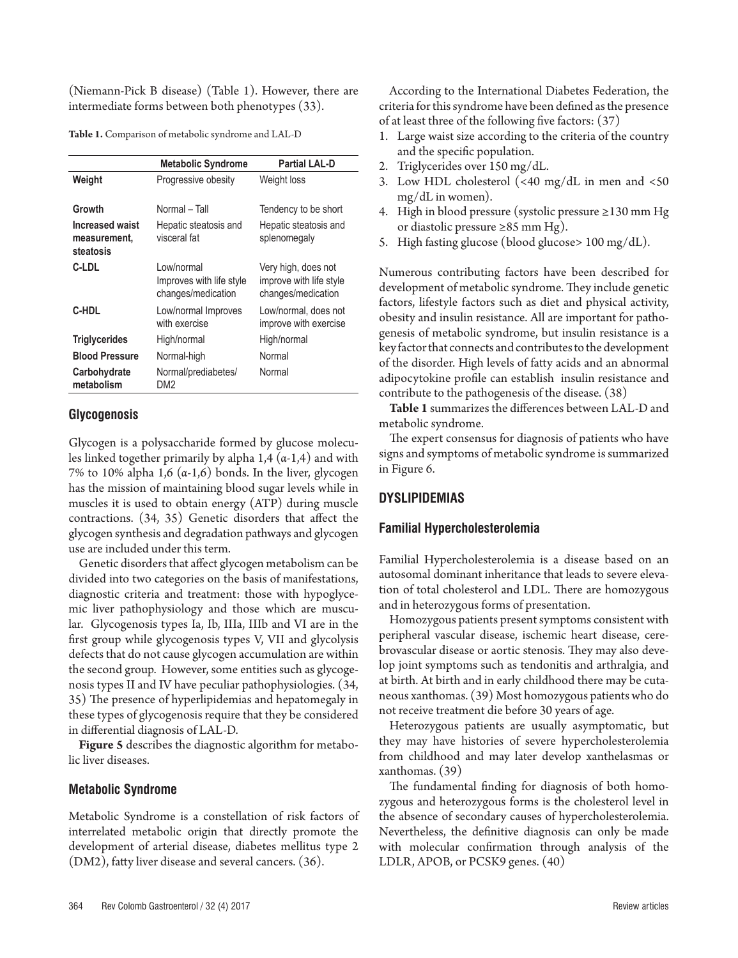(Niemann-Pick B disease) (Table 1). However, there are intermediate forms between both phenotypes (33).

**Table 1.** Comparison of metabolic syndrome and LAL-D

|                                                     | <b>Metabolic Syndrome</b>                                     | <b>Partial LAL-D</b>                                                 |
|-----------------------------------------------------|---------------------------------------------------------------|----------------------------------------------------------------------|
| Weight                                              | Progressive obesity                                           | Weight loss                                                          |
| Growth                                              | Normal - Tall                                                 | Tendency to be short                                                 |
| <b>Increased waist</b><br>measurement.<br>steatosis | Hepatic steatosis and<br>visceral fat                         | Hepatic steatosis and<br>splenomegaly                                |
| C-LDL                                               | I ow/normal<br>Improves with life style<br>changes/medication | Very high, does not<br>improve with life style<br>changes/medication |
| C-HDL                                               | Low/normal Improves<br>with exercise                          | Low/normal, does not<br>improve with exercise                        |
| <b>Triglycerides</b>                                | High/normal                                                   | High/normal                                                          |
| <b>Blood Pressure</b>                               | Normal-high                                                   | Normal                                                               |
| Carbohydrate<br>metabolism                          | Normal/prediabetes/<br>DM <sub>2</sub>                        | Normal                                                               |

#### **Glycogenosis**

Glycogen is a polysaccharide formed by glucose molecules linked together primarily by alpha  $1,4$   $(\alpha-1,4)$  and with 7% to 10% alpha 1,6  $(\alpha-1,6)$  bonds. In the liver, glycogen has the mission of maintaining blood sugar levels while in muscles it is used to obtain energy (ATP) during muscle contractions. (34, 35) Genetic disorders that affect the glycogen synthesis and degradation pathways and glycogen use are included under this term.

Genetic disorders that affect glycogen metabolism can be divided into two categories on the basis of manifestations, diagnostic criteria and treatment: those with hypoglycemic liver pathophysiology and those which are muscular. Glycogenosis types Ia, Ib, IIIa, IIIb and VI are in the first group while glycogenosis types V, VII and glycolysis defects that do not cause glycogen accumulation are within the second group. However, some entities such as glycogenosis types II and IV have peculiar pathophysiologies. (34, 35) The presence of hyperlipidemias and hepatomegaly in these types of glycogenosis require that they be considered in differential diagnosis of LAL-D.

**Figure 5** describes the diagnostic algorithm for metabolic liver diseases.

#### **Metabolic Syndrome**

Metabolic Syndrome is a constellation of risk factors of interrelated metabolic origin that directly promote the development of arterial disease, diabetes mellitus type 2 (DM2), fatty liver disease and several cancers. (36).

According to the International Diabetes Federation, the criteria for this syndrome have been defined as the presence of at least three of the following five factors: (37)

- 1. Large waist size according to the criteria of the country and the specific population.
- 2. Triglycerides over 150 mg/dL.
- 3. Low HDL cholesterol (<40 mg/dL in men and <50 mg/dL in women).
- 4. High in blood pressure (systolic pressure ≥130 mm Hg or diastolic pressure ≥85 mm Hg).
- 5. High fasting glucose (blood glucose> 100 mg/dL).

Numerous contributing factors have been described for development of metabolic syndrome. They include genetic factors, lifestyle factors such as diet and physical activity, obesity and insulin resistance. All are important for pathogenesis of metabolic syndrome, but insulin resistance is a key factor that connects and contributes to the development of the disorder. High levels of fatty acids and an abnormal adipocytokine profile can establish insulin resistance and contribute to the pathogenesis of the disease. (38)

**Table 1** summarizes the differences between LAL-D and metabolic syndrome.

The expert consensus for diagnosis of patients who have signs and symptoms of metabolic syndrome is summarized in Figure 6.

#### **DYSLIPIDEMIAS**

# **Familial Hypercholesterolemia**

Familial Hypercholesterolemia is a disease based on an autosomal dominant inheritance that leads to severe elevation of total cholesterol and LDL. There are homozygous and in heterozygous forms of presentation.

Homozygous patients present symptoms consistent with peripheral vascular disease, ischemic heart disease, cerebrovascular disease or aortic stenosis. They may also develop joint symptoms such as tendonitis and arthralgia, and at birth. At birth and in early childhood there may be cutaneous xanthomas. (39) Most homozygous patients who do not receive treatment die before 30 years of age.

Heterozygous patients are usually asymptomatic, but they may have histories of severe hypercholesterolemia from childhood and may later develop xanthelasmas or xanthomas. (39)

The fundamental finding for diagnosis of both homozygous and heterozygous forms is the cholesterol level in the absence of secondary causes of hypercholesterolemia. Nevertheless, the definitive diagnosis can only be made with molecular confirmation through analysis of the LDLR, APOB, or PCSK9 genes. (40)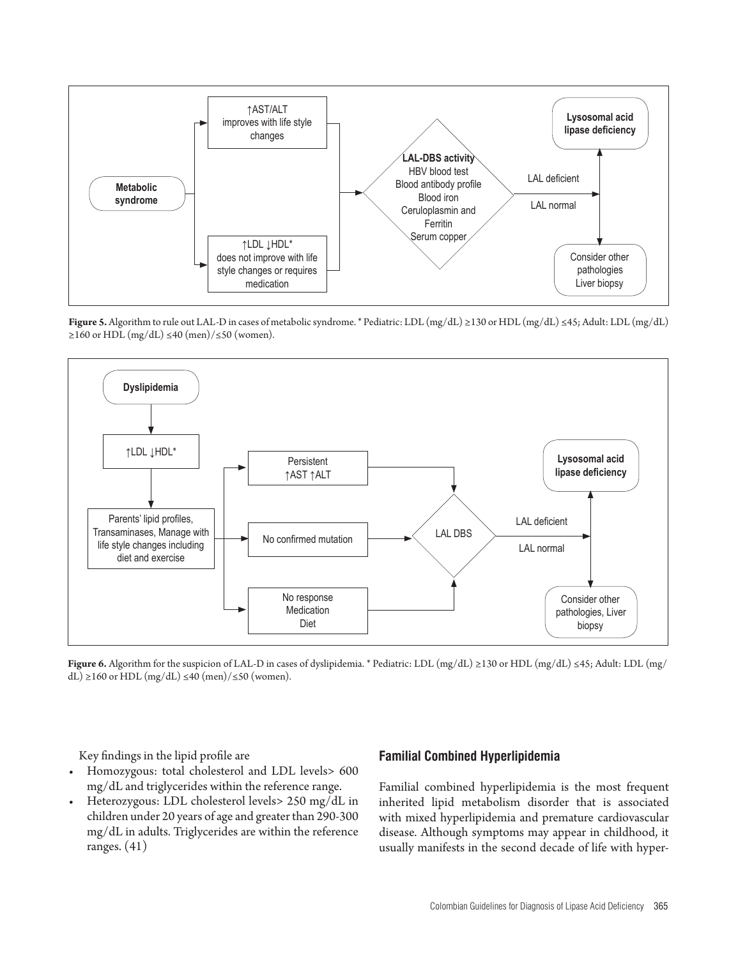

**Figure 5.** Algorithm to rule out LAL-D in cases of metabolic syndrome. \* Pediatric: LDL (mg/dL) ≥130 or HDL (mg/dL) ≤45; Adult: LDL (mg/dL)  $≥160$  or HDL (mg/dL) ≤40 (men)/≤50 (women).



**Figure 6.** Algorithm for the suspicion of LAL-D in cases of dyslipidemia. \* Pediatric: LDL (mg/dL) ≥130 or HDL (mg/dL) ≤45; Adult: LDL (mg/ dL) ≥160 or HDL (mg/dL) ≤40 (men)/≤50 (women).

Key findings in the lipid profile are

- • Homozygous: total cholesterol and LDL levels> 600 mg/dL and triglycerides within the reference range.
- Heterozygous: LDL cholesterol levels> 250 mg/dL in children under 20 years of age and greater than 290-300 mg/dL in adults. Triglycerides are within the reference ranges. (41)

#### **Familial Combined Hyperlipidemia**

Familial combined hyperlipidemia is the most frequent inherited lipid metabolism disorder that is associated with mixed hyperlipidemia and premature cardiovascular disease. Although symptoms may appear in childhood, it usually manifests in the second decade of life with hyper-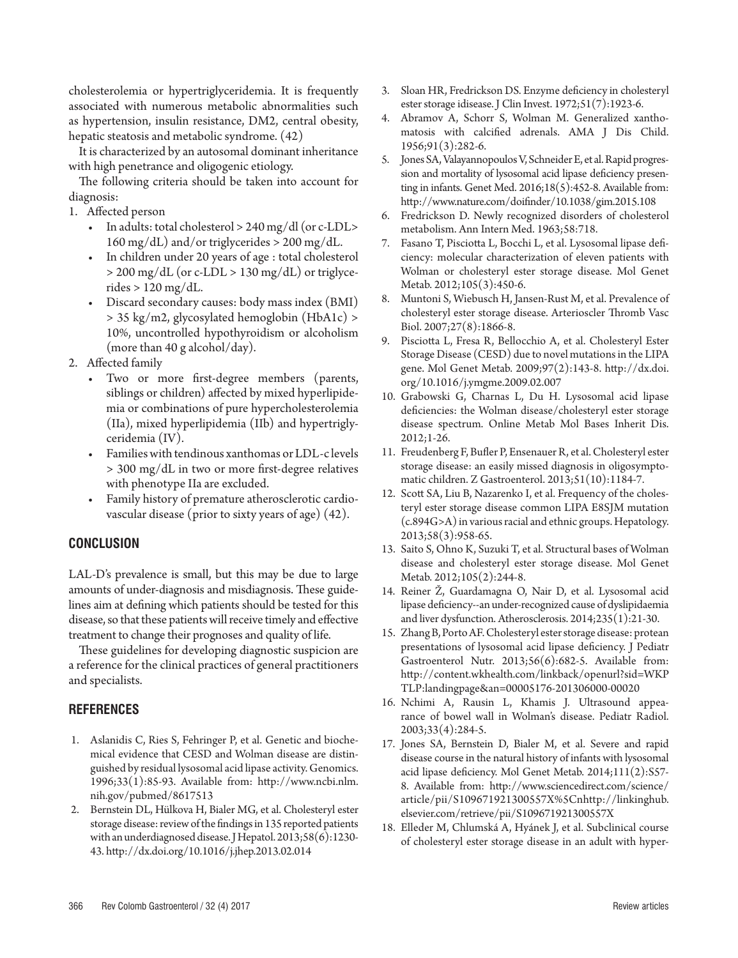cholesterolemia or hypertriglyceridemia. It is frequently associated with numerous metabolic abnormalities such as hypertension, insulin resistance, DM2, central obesity, hepatic steatosis and metabolic syndrome. (42)

It is characterized by an autosomal dominant inheritance with high penetrance and oligogenic etiology.

The following criteria should be taken into account for diagnosis:

- 1. Affected person
	- In adults: total cholesterol  $> 240$  mg/dl (or c-LDL $>$  $160 \text{ mg/dL}$ ) and/or triglycerides > 200 mg/dL.
	- In children under 20 years of age : total cholesterol > 200 mg/dL (or c-LDL > 130 mg/dL) or triglycerides  $> 120$  mg/dL.
	- Discard secondary causes: body mass index (BMI) > 35 kg/m2, glycosylated hemoglobin (HbA1c) > 10%, uncontrolled hypothyroidism or alcoholism (more than 40 g alcohol/day).
- 2. Affected family
	- Two or more first-degree members (parents, siblings or children) affected by mixed hyperlipidemia or combinations of pure hypercholesterolemia (IIa), mixed hyperlipidemia (IIb) and hypertriglyceridemia (IV).
	- • Families with tendinous xanthomas or LDL-c levels > 300 mg/dL in two or more first-degree relatives with phenotype IIa are excluded.
	- Family history of premature atherosclerotic cardiovascular disease (prior to sixty years of age) (42).

# **CONCLUSION**

LAL-D's prevalence is small, but this may be due to large amounts of under-diagnosis and misdiagnosis. These guidelines aim at defining which patients should be tested for this disease, so that these patients will receive timely and effective treatment to change their prognoses and quality of life.

These guidelines for developing diagnostic suspicion are a reference for the clinical practices of general practitioners and specialists.

# **REFERENCES**

- 1. Aslanidis C, Ries S, Fehringer P, et al. Genetic and biochemical evidence that CESD and Wolman disease are distinguished by residual lysosomal acid lipase activity. Genomics. 1996;33(1):85-93. Available from: http://www.ncbi.nlm. nih.gov/pubmed/8617513
- 2. Bernstein DL, Hülkova H, Bialer MG, et al. Cholesteryl ester storage disease: review of the findings in 135 reported patients with an underdiagnosed disease. J Hepatol. 2013;58(6):1230- 43. http://dx.doi.org/10.1016/j.jhep.2013.02.014
- 3. Sloan HR, Fredrickson DS. Enzyme deficiency in cholesteryl ester storage idisease. J Clin Invest. 1972;51(7):1923-6.
- 4. Abramov A, Schorr S, Wolman M. Generalized xanthomatosis with calcified adrenals. AMA J Dis Child. 1956;91(3):282-6.
- 5. Jones SA, Valayannopoulos V, Schneider E, et al. Rapid progression and mortality of lysosomal acid lipase deficiency presenting in infants. Genet Med.  $2016;18(5):452-8$ . Available from: http://www.nature.com/doifinder/10.1038/gim.2015.108
- 6. Fredrickson D. Newly recognized disorders of cholesterol metabolism. Ann Intern Med. 1963;58:718.
- 7. Fasano T, Pisciotta L, Bocchi L, et al. Lysosomal lipase deficiency: molecular characterization of eleven patients with Wolman or cholesteryl ester storage disease. Mol Genet Metab. 2012;105(3):450-6.
- 8. Muntoni S, Wiebusch H, Jansen-Rust M, et al. Prevalence of cholesteryl ester storage disease. Arterioscler Thromb Vasc Biol. 2007;27(8):1866-8.
- 9. Pisciotta L, Fresa R, Bellocchio A, et al. Cholesteryl Ester Storage Disease (CESD) due to novel mutations in the LIPA gene. Mol Genet Metab. 2009;97(2):143-8. http://dx.doi. org/10.1016/j.ymgme.2009.02.007
- 10. Grabowski G, Charnas L, Du H. Lysosomal acid lipase deficiencies: the Wolman disease/cholesteryl ester storage disease spectrum. Online Metab Mol Bases Inherit Dis. 2012;1-26.
- 11. Freudenberg F, Bufler P, Ensenauer R, et al. Cholesteryl ester storage disease: an easily missed diagnosis in oligosymptomatic children. Z Gastroenterol. 2013;51(10):1184-7.
- 12. Scott SA, Liu B, Nazarenko I, et al. Frequency of the cholesteryl ester storage disease common LIPA E8SJM mutation (c.894G>A) in various racial and ethnic groups. Hepatology. 2013;58(3):958-65.
- 13. Saito S, Ohno K, Suzuki T, et al. Structural bases of Wolman disease and cholesteryl ester storage disease. Mol Genet Metab. 2012;105(2):244-8.
- 14. Reiner Ž, Guardamagna O, Nair D, et al. Lysosomal acid lipase deficiency--an under-recognized cause of dyslipidaemia and liver dysfunction. Atherosclerosis. 2014;235(1):21-30.
- 15. Zhang B, Porto AF. Cholesteryl ester storage disease: protean presentations of lysosomal acid lipase deficiency. J Pediatr Gastroenterol Nutr. 2013;56(6):682-5. Available from: http://content.wkhealth.com/linkback/openurl?sid=WKP TLP:landingpage&an=00005176-201306000-00020
- 16. Nchimi A, Rausin L, Khamis J. Ultrasound appearance of bowel wall in Wolman's disease. Pediatr Radiol. 2003;33(4):284-5.
- 17. Jones SA, Bernstein D, Bialer M, et al. Severe and rapid disease course in the natural history of infants with lysosomal acid lipase deficiency. Mol Genet Metab. 2014;111(2):S57- 8. Available from: http://www.sciencedirect.com/science/ article/pii/S109671921300557X%5Cnhttp://linkinghub. elsevier.com/retrieve/pii/S109671921300557X
- 18. Elleder M, Chlumská A, Hyánek J, et al. Subclinical course of cholesteryl ester storage disease in an adult with hyper-